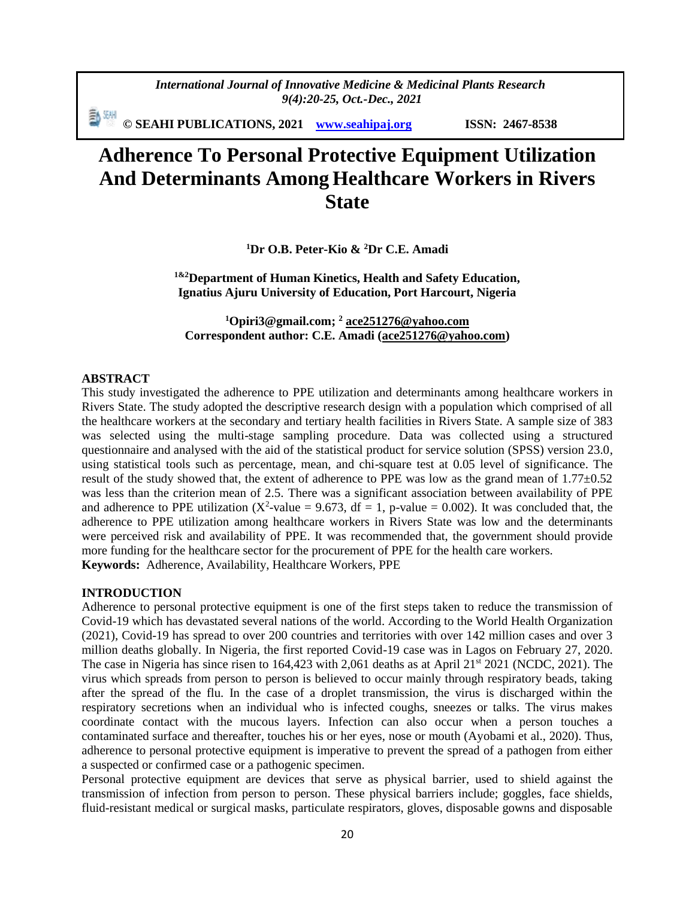*International Journal of Innovative Medicine & Medicinal Plants Research 9(4):20-25, Oct.-Dec., 2021*

動網 **© SEAHI PUBLICATIONS, 2021 [www.seahipaj.org](http://www.seahipaj.org/) ISSN: 2467-8538**

# **Adherence To Personal Protective Equipment Utilization And Determinants Among Healthcare Workers in Rivers State**

**<sup>1</sup>Dr O.B. Peter-Kio & <sup>2</sup>Dr C.E. Amadi**

**1&2Department of Human Kinetics, Health and Safety Education, Ignatius Ajuru University of Education, Port Harcourt, Nigeria**

**<sup>1</sup>[Opiri3@gmail.com;](mailto:Opiri3@gmail.com) <sup>2</sup> [ace251276@yahoo.com](mailto:ace251276@yahoo.com) Correspondent author: C.E. Amadi [\(ace251276@yahoo.com\)](mailto:ace251276@yahoo.com)**

#### **ABSTRACT**

This study investigated the adherence to PPE utilization and determinants among healthcare workers in Rivers State. The study adopted the descriptive research design with a population which comprised of all the healthcare workers at the secondary and tertiary health facilities in Rivers State. A sample size of 383 was selected using the multi-stage sampling procedure. Data was collected using a structured questionnaire and analysed with the aid of the statistical product for service solution (SPSS) version 23.0, using statistical tools such as percentage, mean, and chi-square test at 0.05 level of significance. The result of the study showed that, the extent of adherence to PPE was low as the grand mean of 1.77±0.52 was less than the criterion mean of 2.5. There was a significant association between availability of PPE and adherence to PPE utilization ( $X^2$ -value = 9.673, df = 1, p-value = 0.002). It was concluded that, the adherence to PPE utilization among healthcare workers in Rivers State was low and the determinants were perceived risk and availability of PPE. It was recommended that, the government should provide more funding for the healthcare sector for the procurement of PPE for the health care workers. **Keywords:** Adherence, Availability, Healthcare Workers, PPE

#### **INTRODUCTION**

Adherence to personal protective equipment is one of the first steps taken to reduce the transmission of Covid-19 which has devastated several nations of the world. According to the World Health Organization (2021), Covid-19 has spread to over 200 countries and territories with over 142 million cases and over 3 million deaths globally. In Nigeria, the first reported Covid-19 case was in Lagos on February 27, 2020. The case in Nigeria has since risen to 164,423 with 2,061 deaths as at April 21<sup>st</sup> 2021 (NCDC, 2021). The virus which spreads from person to person is believed to occur mainly through respiratory beads, taking after the spread of the flu. In the case of a droplet transmission, the virus is discharged within the respiratory secretions when an individual who is infected coughs, sneezes or talks. The virus makes coordinate contact with the mucous layers. Infection can also occur when a person touches a contaminated surface and thereafter, touches his or her eyes, nose or mouth (Ayobami et al., 2020). Thus, adherence to personal protective equipment is imperative to prevent the spread of a pathogen from either a suspected or confirmed case or a pathogenic specimen.

Personal protective equipment are devices that serve as physical barrier, used to shield against the transmission of infection from person to person. These physical barriers include; goggles, face shields, fluid-resistant medical or surgical masks, particulate respirators, gloves, disposable gowns and disposable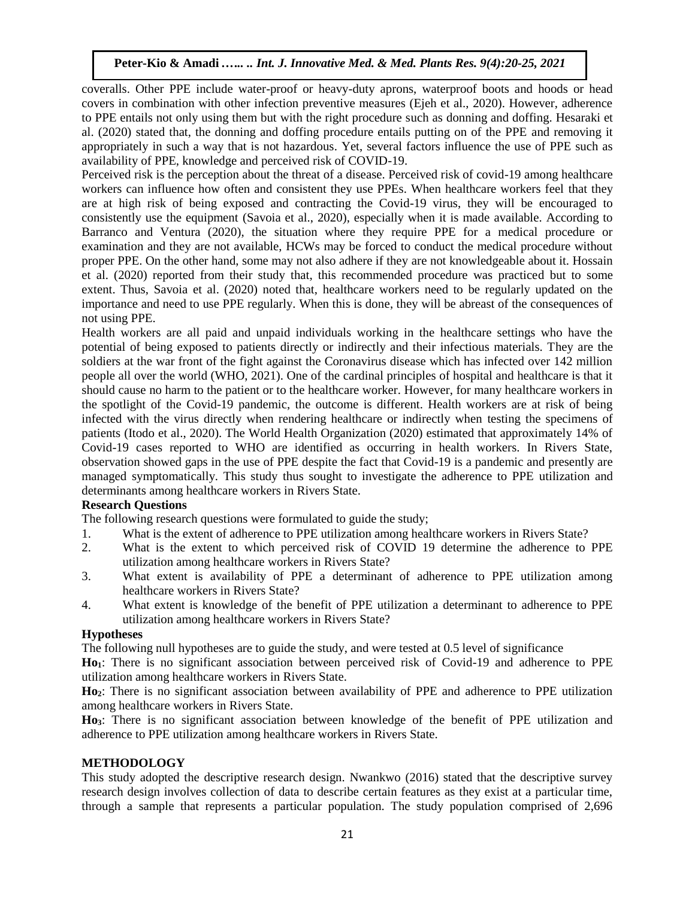coveralls. Other PPE include water-proof or heavy-duty aprons, waterproof boots and hoods or head covers in combination with other infection preventive measures (Ejeh et al., 2020). However, adherence to PPE entails not only using them but with the right procedure such as donning and doffing. Hesaraki et al. (2020) stated that, the donning and doffing procedure entails putting on of the PPE and removing it appropriately in such a way that is not hazardous. Yet, several factors influence the use of PPE such as availability of PPE, knowledge and perceived risk of COVID-19.

Perceived risk is the perception about the threat of a disease. Perceived risk of covid-19 among healthcare workers can influence how often and consistent they use PPEs. When healthcare workers feel that they are at high risk of being exposed and contracting the Covid-19 virus, they will be encouraged to consistently use the equipment (Savoia et al., 2020), especially when it is made available. According to Barranco and Ventura (2020), the situation where they require PPE for a medical procedure or examination and they are not available, HCWs may be forced to conduct the medical procedure without proper PPE. On the other hand, some may not also adhere if they are not knowledgeable about it. Hossain et al. (2020) reported from their study that, this recommended procedure was practiced but to some extent. Thus, Savoia et al. (2020) noted that, healthcare workers need to be regularly updated on the importance and need to use PPE regularly. When this is done, they will be abreast of the consequences of not using PPE.

Health workers are all paid and unpaid individuals working in the healthcare settings who have the potential of being exposed to patients directly or indirectly and their infectious materials. They are the soldiers at the war front of the fight against the Coronavirus disease which has infected over 142 million people all over the world (WHO, 2021). One of the cardinal principles of hospital and healthcare is that it should cause no harm to the patient or to the healthcare worker. However, for many healthcare workers in the spotlight of the Covid-19 pandemic, the outcome is different. Health workers are at risk of being infected with the virus directly when rendering healthcare or indirectly when testing the specimens of patients (Itodo et al., 2020). The World Health Organization (2020) estimated that approximately 14% of Covid-19 cases reported to WHO are identified as occurring in health workers. In Rivers State, observation showed gaps in the use of PPE despite the fact that Covid-19 is a pandemic and presently are managed symptomatically. This study thus sought to investigate the adherence to PPE utilization and determinants among healthcare workers in Rivers State.

## **Research Questions**

The following research questions were formulated to guide the study;

- 1. What is the extent of adherence to PPE utilization among healthcare workers in Rivers State?
- 2. What is the extent to which perceived risk of COVID 19 determine the adherence to PPE utilization among healthcare workers in Rivers State?
- 3. What extent is availability of PPE a determinant of adherence to PPE utilization among healthcare workers in Rivers State?
- 4. What extent is knowledge of the benefit of PPE utilization a determinant to adherence to PPE utilization among healthcare workers in Rivers State?

## **Hypotheses**

The following null hypotheses are to guide the study, and were tested at 0.5 level of significance

**Ho1**: There is no significant association between perceived risk of Covid-19 and adherence to PPE utilization among healthcare workers in Rivers State.

**Ho2**: There is no significant association between availability of PPE and adherence to PPE utilization among healthcare workers in Rivers State.

**Ho3**: There is no significant association between knowledge of the benefit of PPE utilization and adherence to PPE utilization among healthcare workers in Rivers State.

## **METHODOLOGY**

This study adopted the descriptive research design. Nwankwo (2016) stated that the descriptive survey research design involves collection of data to describe certain features as they exist at a particular time, through a sample that represents a particular population. The study population comprised of 2,696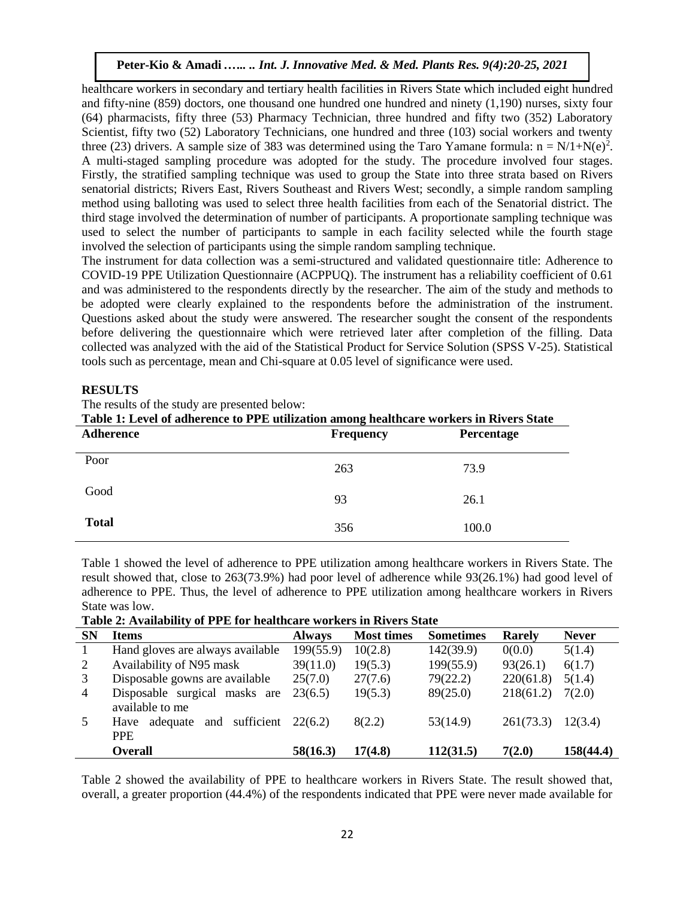healthcare workers in secondary and tertiary health facilities in Rivers State which included eight hundred and fifty-nine (859) doctors, one thousand one hundred one hundred and ninety (1,190) nurses, sixty four (64) pharmacists, fifty three (53) Pharmacy Technician, three hundred and fifty two (352) Laboratory Scientist, fifty two (52) Laboratory Technicians, one hundred and three (103) social workers and twenty three (23) drivers. A sample size of 383 was determined using the Taro Yamane formula:  $n = N/1+N(e)^2$ . A multi-staged sampling procedure was adopted for the study. The procedure involved four stages. Firstly, the stratified sampling technique was used to group the State into three strata based on Rivers senatorial districts; Rivers East, Rivers Southeast and Rivers West; secondly, a simple random sampling method using balloting was used to select three health facilities from each of the Senatorial district. The third stage involved the determination of number of participants. A proportionate sampling technique was used to select the number of participants to sample in each facility selected while the fourth stage involved the selection of participants using the simple random sampling technique.

The instrument for data collection was a semi-structured and validated questionnaire title: Adherence to COVID-19 PPE Utilization Questionnaire (ACPPUQ). The instrument has a reliability coefficient of 0.61 and was administered to the respondents directly by the researcher. The aim of the study and methods to be adopted were clearly explained to the respondents before the administration of the instrument. Questions asked about the study were answered. The researcher sought the consent of the respondents before delivering the questionnaire which were retrieved later after completion of the filling. Data collected was analyzed with the aid of the Statistical Product for Service Solution (SPSS V-25). Statistical tools such as percentage, mean and Chi-square at 0.05 level of significance were used.

## **RESULTS**

The results of the study are presented below:

| Table 1: Level of adherence to PPE utilization among healthcare workers in Rivers State |                                       |       |  |  |  |  |  |  |
|-----------------------------------------------------------------------------------------|---------------------------------------|-------|--|--|--|--|--|--|
| Adherence                                                                               | <b>Frequency</b><br><b>Percentage</b> |       |  |  |  |  |  |  |
| Poor                                                                                    | 263                                   | 73.9  |  |  |  |  |  |  |
| Good                                                                                    | 93                                    | 26.1  |  |  |  |  |  |  |
| <b>Total</b>                                                                            | 356                                   | 100.0 |  |  |  |  |  |  |

Table 1 showed the level of adherence to PPE utilization among healthcare workers in Rivers State. The result showed that, close to 263(73.9%) had poor level of adherence while 93(26.1%) had good level of adherence to PPE. Thus, the level of adherence to PPE utilization among healthcare workers in Rivers State was low.

**Table 2: Availability of PPE for healthcare workers in Rivers State**

| <b>SN</b> | <b>Items</b>                                        | <b>Always</b> | <b>Most times</b> | <b>Sometimes</b> | Rarely    | <b>Never</b> |
|-----------|-----------------------------------------------------|---------------|-------------------|------------------|-----------|--------------|
|           | Hand gloves are always available                    | 199(55.9)     | 10(2.8)           | 142(39.9)        | 0(0.0)    | 5(1.4)       |
| 2         | Availability of N95 mask                            | 39(11.0)      | 19(5.3)           | 199(55.9)        | 93(26.1)  | 6(1.7)       |
| 3         | Disposable gowns are available                      | 25(7.0)       | 27(7.6)           | 79(22.2)         | 220(61.8) | 5(1.4)       |
| 4         | Disposable surgical masks are                       | 23(6.5)       | 19(5.3)           | 89(25.0)         | 218(61.2) | 7(2.0)       |
|           | available to me                                     |               |                   |                  |           |              |
| 5         | sufficient<br>and<br>adequate<br>Have<br><b>PPE</b> | 22(6.2)       | 8(2.2)            | 53(14.9)         | 261(73.3) | 12(3.4)      |
|           | <b>Overall</b>                                      | 58(16.3)      | 17(4.8)           | 112(31.5)        | 7(2.0)    | 158(44.4)    |

Table 2 showed the availability of PPE to healthcare workers in Rivers State. The result showed that, overall, a greater proportion (44.4%) of the respondents indicated that PPE were never made available for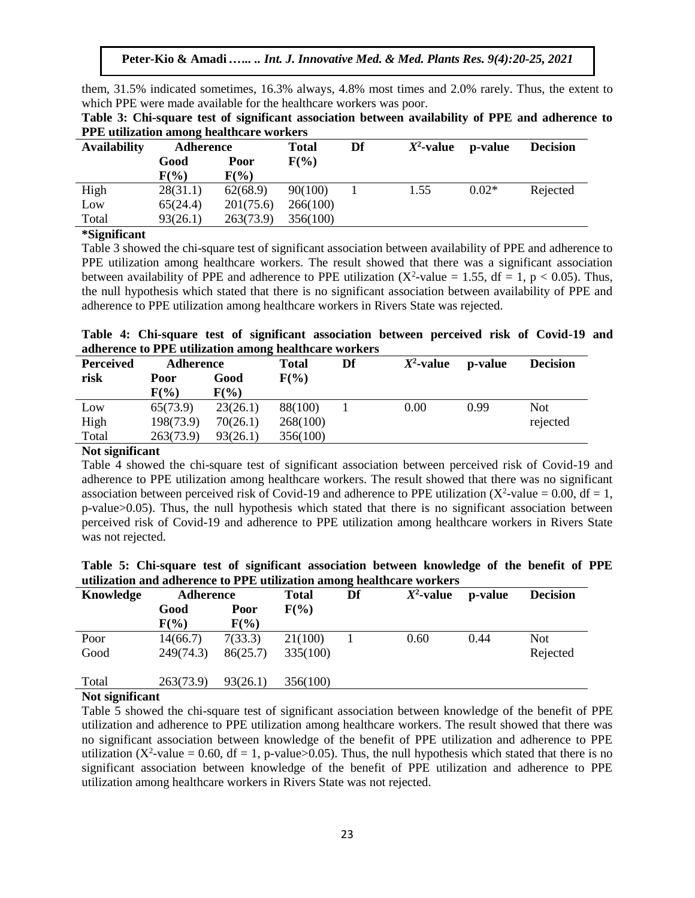them, 31.5% indicated sometimes, 16.3% always, 4.8% most times and 2.0% rarely. Thus, the extent to which PPE were made available for the healthcare workers was poor.

**Table 3: Chi-square test of significant association between availability of PPE and adherence to PPE utilization among healthcare workers**

| <b>Availability</b> | <b>Adherence</b> |           | <b>Total</b> | Df | $X^2$ -value | p-value | <b>Decision</b> |
|---------------------|------------------|-----------|--------------|----|--------------|---------|-----------------|
|                     | Good             | Poor      | $F(\%)$      |    |              |         |                 |
|                     | $F(\%)$          | $F(\%)$   |              |    |              |         |                 |
| High                | 28(31.1)         | 62(68.9)  | 90(100)      |    | 1.55         | $0.02*$ | Rejected        |
| Low                 | 65(24.4)         | 201(75.6) | 266(100)     |    |              |         |                 |
| Total               | 93(26.1)         | 263(73.9) | 356(100)     |    |              |         |                 |
| $\sim$<br>$\sim$    |                  |           |              |    |              |         |                 |

#### **\*Significant**

Table 3 showed the chi-square test of significant association between availability of PPE and adherence to PPE utilization among healthcare workers. The result showed that there was a significant association between availability of PPE and adherence to PPE utilization ( $X^2$ -value = 1.55, df = 1, p < 0.05). Thus, the null hypothesis which stated that there is no significant association between availability of PPE and adherence to PPE utilization among healthcare workers in Rivers State was rejected.

| Table 4: Chi-square test of significant association between perceived risk of Covid-19 and |  |  |  |  |  |
|--------------------------------------------------------------------------------------------|--|--|--|--|--|
| adherence to PPE utilization among healthcare workers                                      |  |  |  |  |  |

| <b>Perceived</b> | Adherence |          | <b>Total</b> | Df | $X^2$ -value | p-value | <b>Decision</b> |
|------------------|-----------|----------|--------------|----|--------------|---------|-----------------|
| risk             | Poor      | Good     | $F(\%)$      |    |              |         |                 |
|                  | $F(\% )$  | $F(\%)$  |              |    |              |         |                 |
| Low              | 65(73.9)  | 23(26.1) | 88(100)      |    | 0.00         | 0.99    | <b>Not</b>      |
| High             | 198(73.9) | 70(26.1) | 268(100)     |    |              |         | rejected        |
| Total            | 263(73.9) | 93(26.1) | 356(100)     |    |              |         |                 |

#### **Not significant**

Table 4 showed the chi-square test of significant association between perceived risk of Covid-19 and adherence to PPE utilization among healthcare workers. The result showed that there was no significant association between perceived risk of Covid-19 and adherence to PPE utilization ( $X^2$ -value = 0.00, df = 1, p-value>0.05). Thus, the null hypothesis which stated that there is no significant association between perceived risk of Covid-19 and adherence to PPE utilization among healthcare workers in Rivers State was not rejected.

| Table 5: Chi-square test of significant association between knowledge of the benefit of PPE |  |  |  |  |  |
|---------------------------------------------------------------------------------------------|--|--|--|--|--|
| utilization and adherence to PPE utilization among healthcare workers                       |  |  |  |  |  |

| Knowledge | Adherence |          | <b>Total</b> | ັ<br>Df | $X^2$ -value | p-value | <b>Decision</b> |
|-----------|-----------|----------|--------------|---------|--------------|---------|-----------------|
|           | Good      | Poor     | $F(\%)$      |         |              |         |                 |
|           | $F(\%)$   | $F(\%)$  |              |         |              |         |                 |
| Poor      | 14(66.7)  | 7(33.3)  | 21(100)      |         | 0.60         | 0.44    | <b>Not</b>      |
| Good      | 249(74.3) | 86(25.7) | 335(100)     |         |              |         | Rejected        |
| Total     | 263(73.9) | 93(26.1) | 356(100)     |         |              |         |                 |

## **Not significant**

Table 5 showed the chi-square test of significant association between knowledge of the benefit of PPE utilization and adherence to PPE utilization among healthcare workers. The result showed that there was no significant association between knowledge of the benefit of PPE utilization and adherence to PPE utilization ( $X^2$ -value = 0.60, df = 1, p-value>0.05). Thus, the null hypothesis which stated that there is no significant association between knowledge of the benefit of PPE utilization and adherence to PPE utilization among healthcare workers in Rivers State was not rejected.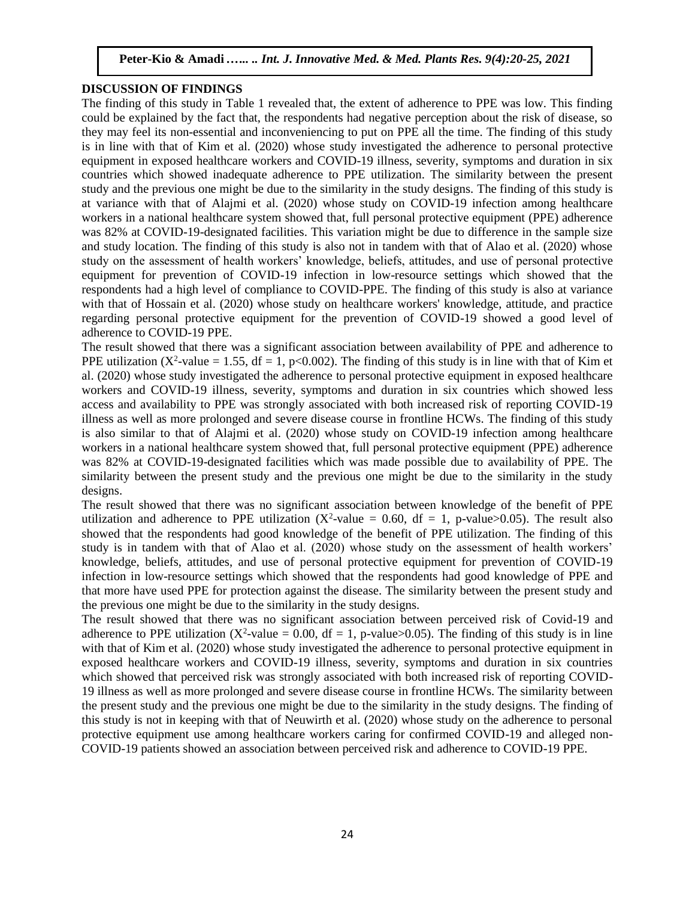#### **DISCUSSION OF FINDINGS**

The finding of this study in Table 1 revealed that, the extent of adherence to PPE was low. This finding could be explained by the fact that, the respondents had negative perception about the risk of disease, so they may feel its non-essential and inconveniencing to put on PPE all the time. The finding of this study is in line with that of Kim et al. (2020) whose study investigated the adherence to personal protective equipment in exposed healthcare workers and COVID-19 illness, severity, symptoms and duration in six countries which showed inadequate adherence to PPE utilization. The similarity between the present study and the previous one might be due to the similarity in the study designs. The finding of this study is at variance with that of Alajmi et al. (2020) whose study on COVID-19 infection among healthcare workers in a national healthcare system showed that, full personal protective equipment (PPE) adherence was 82% at COVID-19-designated facilities. This variation might be due to difference in the sample size and study location. The finding of this study is also not in tandem with that of Alao et al. (2020) whose study on the assessment of health workers' knowledge, beliefs, attitudes, and use of personal protective equipment for prevention of COVID-19 infection in low-resource settings which showed that the respondents had a high level of compliance to COVID-PPE. The finding of this study is also at variance with that of Hossain et al. (2020) whose study on healthcare workers' knowledge, attitude, and practice regarding personal protective equipment for the prevention of COVID-19 showed a good level of adherence to COVID-19 PPE.

The result showed that there was a significant association between availability of PPE and adherence to PPE utilization ( $X^2$ -value = 1.55, df = 1, p<0.002). The finding of this study is in line with that of Kim et al. (2020) whose study investigated the adherence to personal protective equipment in exposed healthcare workers and COVID-19 illness, severity, symptoms and duration in six countries which showed less access and availability to PPE was strongly associated with both increased risk of reporting COVID-19 illness as well as more prolonged and severe disease course in frontline HCWs. The finding of this study is also similar to that of Alajmi et al. (2020) whose study on COVID-19 infection among healthcare workers in a national healthcare system showed that, full personal protective equipment (PPE) adherence was 82% at COVID-19-designated facilities which was made possible due to availability of PPE. The similarity between the present study and the previous one might be due to the similarity in the study designs.

The result showed that there was no significant association between knowledge of the benefit of PPE utilization and adherence to PPE utilization ( $X^2$ -value = 0.60, df = 1, p-value>0.05). The result also showed that the respondents had good knowledge of the benefit of PPE utilization. The finding of this study is in tandem with that of Alao et al. (2020) whose study on the assessment of health workers' knowledge, beliefs, attitudes, and use of personal protective equipment for prevention of COVID-19 infection in low-resource settings which showed that the respondents had good knowledge of PPE and that more have used PPE for protection against the disease. The similarity between the present study and the previous one might be due to the similarity in the study designs.

The result showed that there was no significant association between perceived risk of Covid-19 and adherence to PPE utilization ( $X^2$ -value = 0.00, df = 1, p-value>0.05). The finding of this study is in line with that of Kim et al. (2020) whose study investigated the adherence to personal protective equipment in exposed healthcare workers and COVID-19 illness, severity, symptoms and duration in six countries which showed that perceived risk was strongly associated with both increased risk of reporting COVID-19 illness as well as more prolonged and severe disease course in frontline HCWs. The similarity between the present study and the previous one might be due to the similarity in the study designs. The finding of this study is not in keeping with that of Neuwirth et al. (2020) whose study on the adherence to personal protective equipment use among healthcare workers caring for confirmed COVID-19 and alleged non-COVID-19 patients showed an association between perceived risk and adherence to COVID-19 PPE.